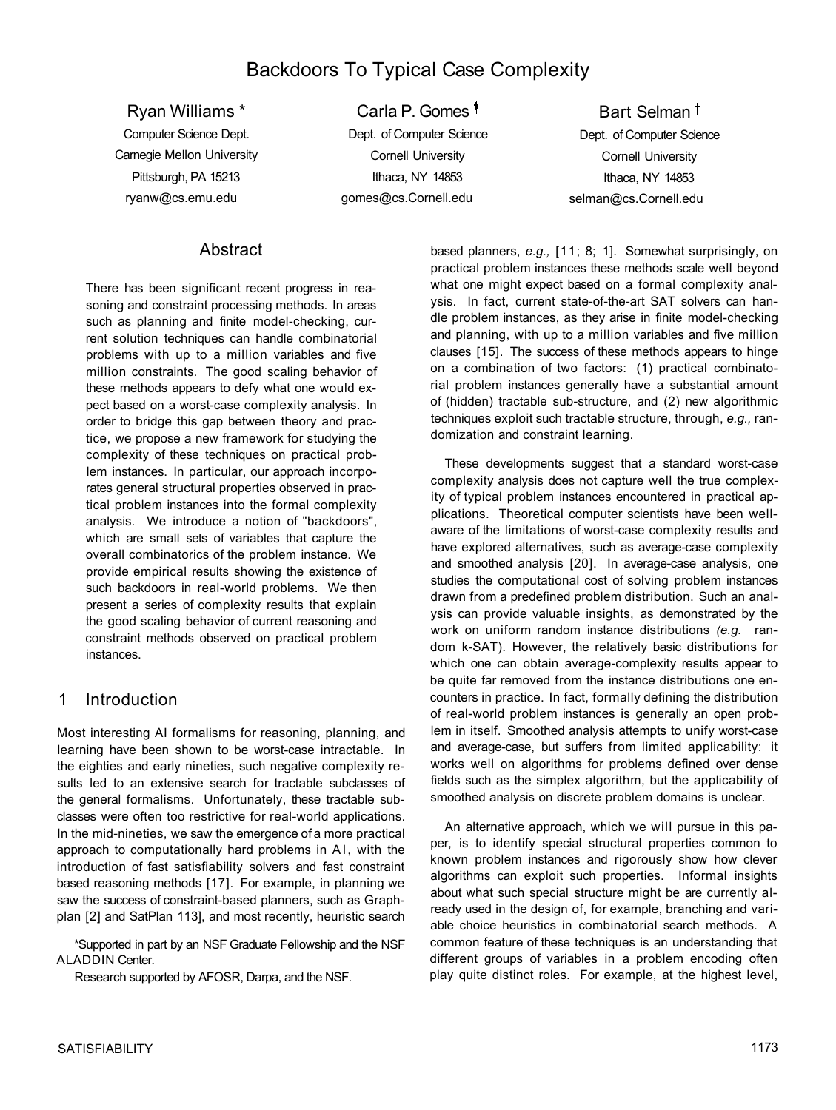# Backdoors To Typical Case Complexity

Ryan Williams \* Computer Science Dept. Carnegie Mellon University Pittsburgh, PA 15213 ryanw@cs.emu.edu

Carla P. Gomes Dept. of Computer Science Cornell University Ithaca, NY 14853 gomes@cs.Cornell.edu

Bart Selman<sup>t</sup> Dept. of Computer Science Cornell University Ithaca, NY 14853 selman@cs.Cornell.edu

## **Abstract**

There has been significant recent progress in reasoning and constraint processing methods. In areas such as planning and finite model-checking, current solution techniques can handle combinatorial problems with up to a million variables and five million constraints. The good scaling behavior of these methods appears to defy what one would expect based on a worst-case complexity analysis. In order to bridge this gap between theory and practice, we propose a new framework for studying the complexity of these techniques on practical problem instances. In particular, our approach incorporates general structural properties observed in practical problem instances into the formal complexity analysis. We introduce a notion of "backdoors", which are small sets of variables that capture the overall combinatorics of the problem instance. We provide empirical results showing the existence of such backdoors in real-world problems. We then present a series of complexity results that explain the good scaling behavior of current reasoning and constraint methods observed on practical problem instances.

# 1 Introduction

Most interesting AI formalisms for reasoning, planning, and learning have been shown to be worst-case intractable. In the eighties and early nineties, such negative complexity results led to an extensive search for tractable subclasses of the general formalisms. Unfortunately, these tractable subclasses were often too restrictive for real-world applications. In the mid-nineties, we saw the emergence of a more practical approach to computationally hard problems in AI, with the introduction of fast satisfiability solvers and fast constraint based reasoning methods [17]. For example, in planning we saw the success of constraint-based planners, such as Graphplan [2] and SatPlan 113], and most recently, heuristic search

\*Supported in part by an NSF Graduate Fellowship and the NSF ALADDIN Center.

Research supported by AFOSR, Darpa, and the NSF.

based planners, *e.g.,* [11; 8; 1]. Somewhat surprisingly, on practical problem instances these methods scale well beyond what one might expect based on a formal complexity analysis. In fact, current state-of-the-art SAT solvers can handle problem instances, as they arise in finite model-checking and planning, with up to a million variables and five million clauses [15]. The success of these methods appears to hinge on a combination of two factors: (1) practical combinatorial problem instances generally have a substantial amount of (hidden) tractable sub-structure, and (2) new algorithmic techniques exploit such tractable structure, through, *e.g.,* randomization and constraint learning.

These developments suggest that a standard worst-case complexity analysis does not capture well the true complexity of typical problem instances encountered in practical applications. Theoretical computer scientists have been wellaware of the limitations of worst-case complexity results and have explored alternatives, such as average-case complexity and smoothed analysis [20]. In average-case analysis, one studies the computational cost of solving problem instances drawn from a predefined problem distribution. Such an analysis can provide valuable insights, as demonstrated by the work on uniform random instance distributions *(e.g.* random k-SAT). However, the relatively basic distributions for which one can obtain average-complexity results appear to be quite far removed from the instance distributions one encounters in practice. In fact, formally defining the distribution of real-world problem instances is generally an open problem in itself. Smoothed analysis attempts to unify worst-case and average-case, but suffers from limited applicability: it works well on algorithms for problems defined over dense fields such as the simplex algorithm, but the applicability of smoothed analysis on discrete problem domains is unclear.

An alternative approach, which we will pursue in this paper, is to identify special structural properties common to known problem instances and rigorously show how clever algorithms can exploit such properties. Informal insights about what such special structure might be are currently already used in the design of, for example, branching and variable choice heuristics in combinatorial search methods. A common feature of these techniques is an understanding that different groups of variables in a problem encoding often play quite distinct roles. For example, at the highest level,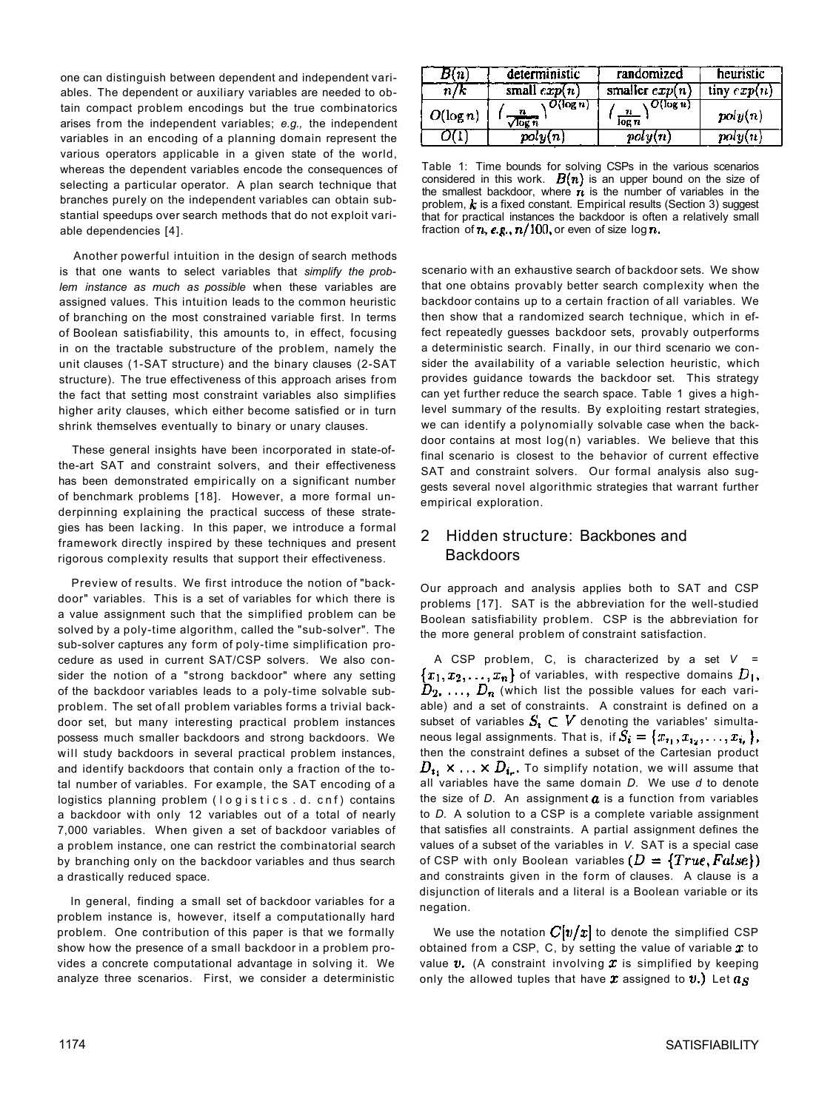one can distinguish between dependent and independent variables. The dependent or auxiliary variables are needed to obtain compact problem encodings but the true combinatorics arises from the independent variables; *e.g.,* the independent variables in an encoding of a planning domain represent the various operators applicable in a given state of the world, whereas the dependent variables encode the consequences of selecting a particular operator. A plan search technique that branches purely on the independent variables can obtain substantial speedups over search methods that do not exploit variable dependencies [4].

Another powerful intuition in the design of search methods is that one wants to select variables that *simplify the problem instance as much as possible* when these variables are assigned values. This intuition leads to the common heuristic of branching on the most constrained variable first. In terms of Boolean satisfiability, this amounts to, in effect, focusing in on the tractable substructure of the problem, namely the unit clauses (1-SAT structure) and the binary clauses (2-SAT structure). The true effectiveness of this approach arises from the fact that setting most constraint variables also simplifies higher arity clauses, which either become satisfied or in turn shrink themselves eventually to binary or unary clauses.

These general insights have been incorporated in state-ofthe-art SAT and constraint solvers, and their effectiveness has been demonstrated empirically on a significant number of benchmark problems [18]. However, a more formal underpinning explaining the practical success of these strategies has been lacking. In this paper, we introduce a formal framework directly inspired by these techniques and present rigorous complexity results that support their effectiveness.

Preview of results. We first introduce the notion of "backdoor" variables. This is a set of variables for which there is a value assignment such that the simplified problem can be solved by a poly-time algorithm, called the "sub-solver". The sub-solver captures any form of poly-time simplification procedure as used in current SAT/CSP solvers. We also consider the notion of a "strong backdoor" where any setting of the backdoor variables leads to a poly-time solvable subproblem. The set of all problem variables forms a trivial backdoor set, but many interesting practical problem instances possess much smaller backdoors and strong backdoors. We will study backdoors in several practical problem instances, and identify backdoors that contain only a fraction of the total number of variables. For example, the SAT encoding of a logistics planning problem (logistics .d. cnf) contains a backdoor with only 12 variables out of a total of nearly 7,000 variables. When given a set of backdoor variables of a problem instance, one can restrict the combinatorial search by branching only on the backdoor variables and thus search a drastically reduced space.

In general, finding a small set of backdoor variables for a problem instance is, however, itself a computationally hard problem. One contribution of this paper is that we formally show how the presence of a small backdoor in a problem provides a concrete computational advantage in solving it. We analyze three scenarios. First, we consider a deterministic

| l 11.       | deterministic        | randomized                        | heuristic     |
|-------------|----------------------|-----------------------------------|---------------|
| n/k         | small $exp(n)$       | smaller $exp(n)$                  | tiny $exp(n)$ |
| $O(\log n)$ | $O(\log n)$<br>log n | $O(\log n)$<br>$\frac{n}{\log n}$ | poly(n)       |
|             | poly(n)              | poly(n)                           | poly(n)       |

Table 1: Time bounds for solving CSPs in the various scenarios considered in this work.  $B(n)$  is an upper bound on the size of the smallest backdoor, where  $\boldsymbol{n}$  is the number of variables in the problem,  $\boldsymbol{k}$  is a fixed constant. Empirical results (Section 3) suggest that for practical instances the backdoor is often a relatively small fraction of  $n$ , e.g.,  $n/100$ , or even of size log  $n$ .

scenario with an exhaustive search of backdoor sets. We show that one obtains provably better search complexity when the backdoor contains up to a certain fraction of all variables. We then show that a randomized search technique, which in effect repeatedly guesses backdoor sets, provably outperforms a deterministic search. Finally, in our third scenario we consider the availability of a variable selection heuristic, which provides guidance towards the backdoor set. This strategy can yet further reduce the search space. Table 1 gives a highlevel summary of the results. By exploiting restart strategies, we can identify a polynomially solvable case when the backdoor contains at most log(n) variables. We believe that this final scenario is closest to the behavior of current effective SAT and constraint solvers. Our formal analysis also suggests several novel algorithmic strategies that warrant further empirical exploration.

# 2 Hidden structure: Backbones and Backdoors

Our approach and analysis applies both to SAT and CSP problems [17]. SAT is the abbreviation for the well-studied Boolean satisfiability problem. CSP is the abbreviation for the more general problem of constraint satisfaction.

A CSP problem, C, is characterized by a set *V =*   ${x_1, x_2, \ldots, x_n}$  of variables, with respective domains  $D_1$ ,  $D_2, \ldots, D_n$  (which list the possible values for each variable) and a set of constraints. A constraint is defined on a subset of variables  $S_i \subset V$  denoting the variables' simultaneous legal assignments. That is, if  $S_i = \{x_{i_1}, x_{i_2}, \ldots, x_{i_r}\},$ then the constraint defines a subset of the Cartesian product  $D_{i_1} \times \ldots \times D_{i_r}$ . To simplify notation, we will assume that all variables have the same domain *D.* We use *d* to denote the size of  $D$ . An assignment  $a$  is a function from variables to *D.* A solution to a CSP is a complete variable assignment that satisfies all constraints. A partial assignment defines the values of a subset of the variables in *V.* SAT is a special case of CSP with only Boolean variables  $(D = \{True, False\})$ and constraints given in the form of clauses. A clause is a disjunction of literals and a literal is a Boolean variable or its negation.

We use the notation  $C[v/x]$  to denote the simplified CSP obtained from a CSP, C, by setting the value of variable  $x$  to value  $v$ . (A constraint involving  $x$  is simplified by keeping only the allowed tuples that have  $\boldsymbol{x}$  assigned to  $\boldsymbol{v}$ .) Let  $\boldsymbol{a}_{\boldsymbol{S}}$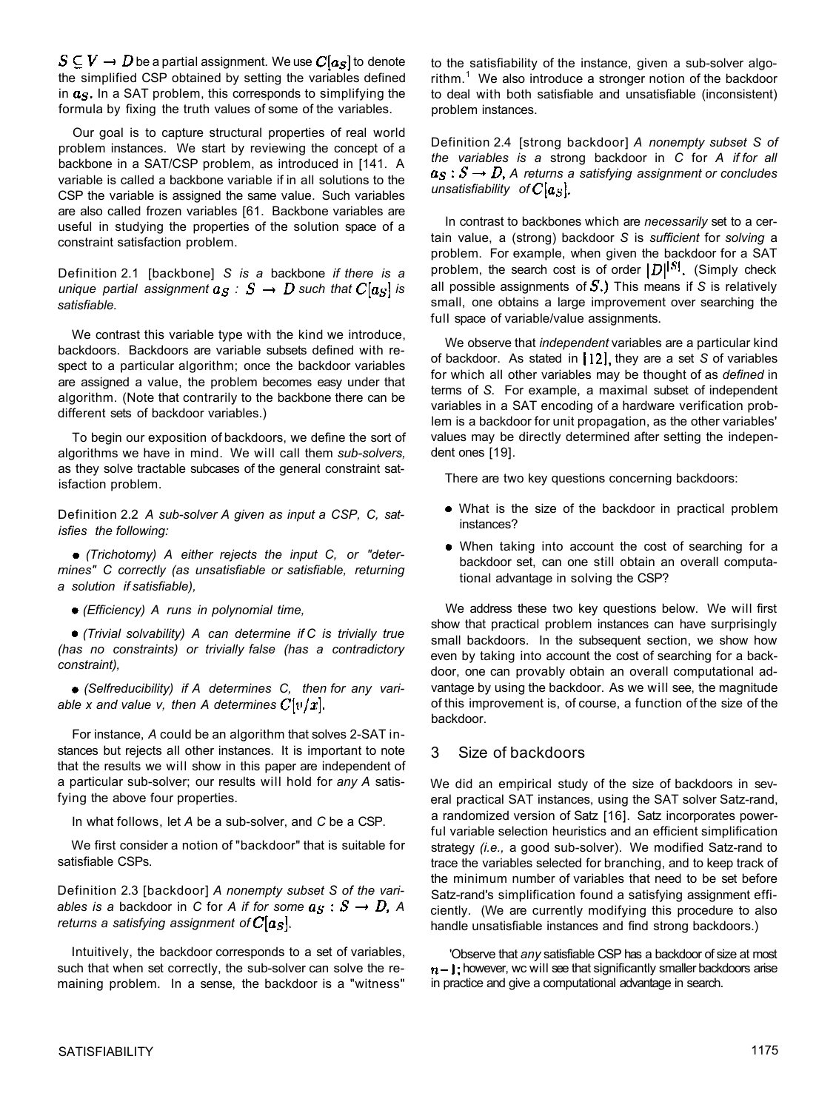$S \subseteq V \rightarrow D$  be a partial assignment. We use  $C[a_S]$  to denote the simplified CSP obtained by setting the variables defined in  $a_S$ . In a SAT problem, this corresponds to simplifying the formula by fixing the truth values of some of the variables.

Our goal is to capture structural properties of real world problem instances. We start by reviewing the concept of a backbone in a SAT/CSP problem, as introduced in [141. A variable is called a backbone variable if in all solutions to the CSP the variable is assigned the same value. Such variables are also called frozen variables [61. Backbone variables are useful in studying the properties of the solution space of a constraint satisfaction problem.

Definition 2.1 [backbone] *S is a* backbone *if there is a unique partial assignment*  $a_S : S \to D$  *such that*  $C[a_S]$  *is satisfiable.* 

We contrast this variable type with the kind we introduce, backdoors. Backdoors are variable subsets defined with respect to a particular algorithm; once the backdoor variables are assigned a value, the problem becomes easy under that algorithm. (Note that contrarily to the backbone there can be different sets of backdoor variables.)

To begin our exposition of backdoors, we define the sort of algorithms we have in mind. We will call them *sub-solvers,*  as they solve tractable subcases of the general constraint satisfaction problem.

Definition 2.2 *A sub-solver A given as input a CSP, C, satisfies the following:* 

*(Trichotomy) A either rejects the input C, or "determines" C correctly (as unsatisfiable or satisfiable, returning a solution if satisfiable),* 

*(Efficiency) A runs in polynomial time,* 

*(Trivial solvability) A can determine if C is trivially true (has no constraints) or trivially false (has a contradictory constraint),* 

*(Selfreducibility) if A determines C, then for any variable x and value v, then A determines*  $C[v/x]$ *.* 

For instance, *A* could be an algorithm that solves 2-SAT instances but rejects all other instances. It is important to note that the results we will show in this paper are independent of a particular sub-solver; our results will hold for *any A* satisfying the above four properties.

In what follows, let *A* be a sub-solver, and *C* be a CSP.

We first consider a notion of "backdoor" that is suitable for satisfiable CSPs.

Definition 2.3 [backdoor] *A nonempty subset S of the variables is a backdoor in C for A if for some*  $a_S : S \to D$ *, A returns a satisfying assignment of*  $C[a<sub>S</sub>]$ .

Intuitively, the backdoor corresponds to a set of variables, such that when set correctly, the sub-solver can solve the remaining problem. In a sense, the backdoor is a "witness"

to the satisfiability of the instance, given a sub-solver algo $r$ ithm. $1$  We also introduce a stronger notion of the backdoor to deal with both satisfiable and unsatisfiable (inconsistent) problem instances.

Definition 2.4 [strong backdoor] *A nonempty subset S of the variables is a* strong backdoor in *C* for *A if for all*   $a_S : S \rightarrow D$ , A returns a satisfying assignment or concludes *unsatisfiability of*  $C[a<sub>S</sub>]$ .

In contrast to backbones which are *necessarily* set to a certain value, a (strong) backdoor *S* is *sufficient* for *solving* a problem. For example, when given the backdoor for a SAT problem, the search cost is of order  $|D|^{|S|}$ . (Simply check all possible assignments of  $S$ .) This means if  $S$  is relatively small, one obtains a large improvement over searching the full space of variable/value assignments.

We observe that *independent* variables are a particular kind of backdoor. As stated in 12, they are a set S of variables for which all other variables may be thought of as *defined* in terms of *S.* For example, a maximal subset of independent variables in a SAT encoding of a hardware verification problem is a backdoor for unit propagation, as the other variables' values may be directly determined after setting the independent ones [19].

There are two key questions concerning backdoors:

- What is the size of the backdoor in practical problem instances?
- When taking into account the cost of searching for a backdoor set, can one still obtain an overall computational advantage in solving the CSP?

We address these two key questions below. We will first show that practical problem instances can have surprisingly small backdoors. In the subsequent section, we show how even by taking into account the cost of searching for a backdoor, one can provably obtain an overall computational advantage by using the backdoor. As we will see, the magnitude of this improvement is, of course, a function of the size of the backdoor.

# 3 Size of backdoors

We did an empirical study of the size of backdoors in several practical SAT instances, using the SAT solver Satz-rand, a randomized version of Satz [16]. Satz incorporates powerful variable selection heuristics and an efficient simplification strategy *(i.e.,* a good sub-solver). We modified Satz-rand to trace the variables selected for branching, and to keep track of the minimum number of variables that need to be set before Satz-rand's simplification found a satisfying assignment efficiently. (We are currently modifying this procedure to also handle unsatisfiable instances and find strong backdoors.)

'Observe that *any* satisfiable CSP has a backdoor of size at most  $n-$  **J**; however, wc will see that significantly smaller backdoors arise in practice and give a computational advantage in search.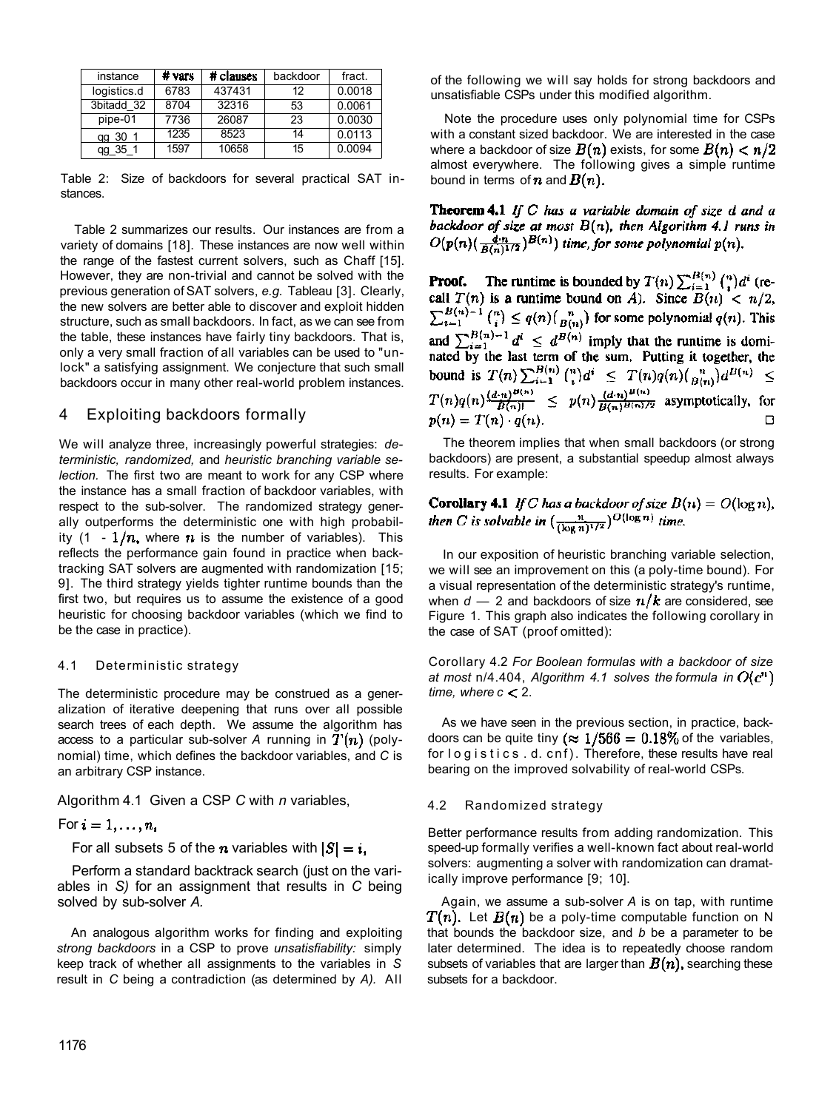| instance    | # vars | # clauses | backdoor | fract. |
|-------------|--------|-----------|----------|--------|
| logistics.d | 6783   | 437431    | 12       | 0.0018 |
| 3bitadd 32  | 8704   | 32316     | 53       | 0.0061 |
| pipe-01     | 7736   | 26087     | 23       | 0.0030 |
| 30<br>qq    | 1235   | 8523      | 14       | 0.0113 |
|             | 1597   | 10658     | 15       | 0.0094 |

Table 2: Size of backdoors for several practical SAT instances.

Table 2 summarizes our results. Our instances are from a variety of domains [18]. These instances are now well within the range of the fastest current solvers, such as Chaff [15]. However, they are non-trivial and cannot be solved with the previous generation of SAT solvers, *e.g.* Tableau [3]. Clearly, the new solvers are better able to discover and exploit hidden structure, such as small backdoors. In fact, as we can see from the table, these instances have fairly tiny backdoors. That is, only a very small fraction of all variables can be used to "unlock" a satisfying assignment. We conjecture that such small backdoors occur in many other real-world problem instances.

## 4 Exploiting backdoors formally

We will analyze three, increasingly powerful strategies: *deterministic, randomized,* and *heuristic branching variable selection.* The first two are meant to work for any CSP where the instance has a small fraction of backdoor variables, with respect to the sub-solver. The randomized strategy generally outperforms the deterministic one with high probability (1 -  $1/n$ , where  $n$  is the number of variables). This reflects the performance gain found in practice when backtracking SAT solvers are augmented with randomization [15; 9]. The third strategy yields tighter runtime bounds than the first two, but requires us to assume the existence of a good heuristic for choosing backdoor variables (which we find to be the case in practice).

#### 4.1 Deterministic strategy

The deterministic procedure may be construed as a generalization of iterative deepening that runs over all possible search trees of each depth. We assume the algorithm has access to a particular sub-solver A running in  $T(n)$  (polynomial) time, which defines the backdoor variables, and *C* is an arbitrary CSP instance.

Algorithm 4.1 Given a CSP *C* with *n* variables,

For  $i=1,\ldots,n$ .

For all subsets 5 of the *n* variables with  $|S| = i$ ,

Perform a standard backtrack search (just on the variables in *S)* for an assignment that results in *C* being solved by sub-solver *A.* 

An analogous algorithm works for finding and exploiting *strong backdoors* in a CSP to prove *unsatisfiability:* simply keep track of whether all assignments to the variables in *S*  result in *C* being a contradiction (as determined by *A).* All of the following we will say holds for strong backdoors and unsatisfiable CSPs under this modified algorithm.

Note the procedure uses only polynomial time for CSPs with a constant sized backdoor. We are interested in the case where a backdoor of size  $B(n)$  exists, for some  $B(n) < n/2$ almost everywhere. The following gives a simple runtime bound in terms of **n** and  $B(n)$ .

**Theorem 4.1** If C has a variable domain of size  $d$  and  $d$ backdoor of size at most  $B(n)$ , then Algorithm 4.1 runs in  $O(p(n)(\frac{d\cdot n}{B(n)^{1/2}})^{B(n)})$  time, for some polynomial  $p(n)$ .

**Proof.** The runtime is bounded by  $T(n) \sum_{i=1}^{B(n)} {n \choose i} d^i$  (recall  $T(n)$  is a runtime bound on A). Since  $B(n) < n/2$ ,  $\sum_{i=1}^{B(n)-1} {n \choose i} \le q(n) {n \choose B(n)}$  for some polynomial  $q(n)$ . This and  $\sum_{i=1}^{B(n)-1} d^i \leq d^{B(n)}$  imply that the runtime is dominated by the last term of the sum. Putting it together, the bound is  $T(n) \sum_{i=1}^{B(n)} {n \choose i} d^i \leq T(n)q(n) \binom{n}{B(n)} d^{B(n)} \leq$ <br> $T(n)q(n) \frac{(d \cdot n)^{B(n)}}{B(n)!} \leq p(n) \frac{(d \cdot n)^{B(n)}}{B(n)^{B(n)/2}}$  asymptotically, for  $p(n) = T(n) \cdot q(n).$ □

The theorem implies that when small backdoors (or strong backdoors) are present, a substantial speedup almost always results. For example:

**Corollary 4.1** *If C has a backdoor of size B(n)* =  $O(\log n)$ ,<br>then C is solvable in  $\left(\frac{n}{(\log n)^{1/2}}\right)^{O(\log n)}$  time.

In our exposition of heuristic branching variable selection, we will see an improvement on this (a poly-time bound). For a visual representation of the deterministic strategy's runtime, when  $d - 2$  and backdoors of size  $n/k$  are considered, see Figure 1. This graph also indicates the following corollary in the case of SAT (proof omitted):

Corollary 4.2 *For Boolean formulas with a backdoor of size at most* n/4.404, Algorithm 4.1 solves the formula in  $O(c^{n})$ *time, where*  $c < 2$ *.* 

As we have seen in the previous section, in practice, backdoors can be quite tiny ( $\approx 1/566 = 0.18\%$  of the variables, for logistic s . d. cnf). Therefore, these results have real bearing on the improved solvability of real-world CSPs.

#### 4.2 Randomized strategy

Better performance results from adding randomization. This speed-up formally verifies a well-known fact about real-world solvers: augmenting a solver with randomization can dramatically improve performance [9; 10].

Again, we assume a sub-solver *A* is on tap, with runtime  $T(n)$ . Let  $B(n)$  be a poly-time computable function on N that bounds the backdoor size, and *b* be a parameter to be later determined. The idea is to repeatedly choose random subsets of variables that are larger than  $B(n)$ , searching these subsets for a backdoor.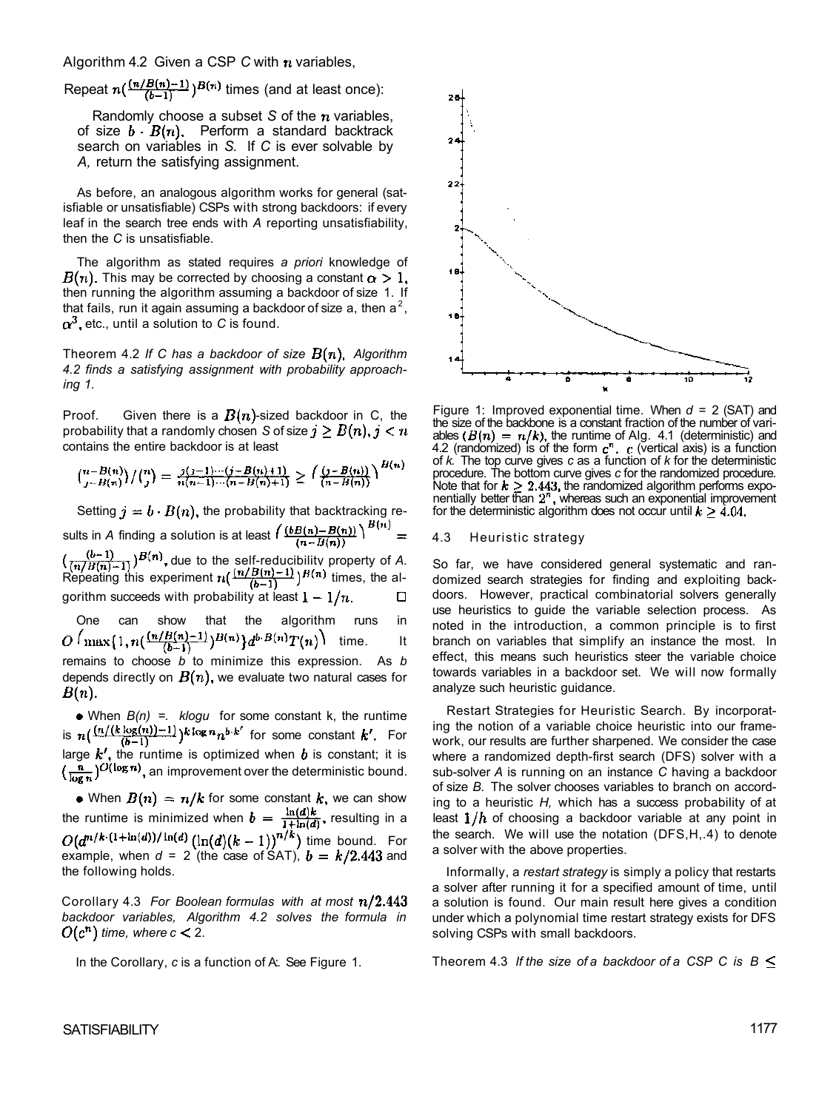Algorithm 4.2 Given a CSP C with  $n$  variables,

Repeat  $n\left(\frac{(n/B(n)-1)}{(b-1)}\right)^{B(n)}$  times (and at least once):

Randomly choose a subset S of the  $n$  variables, of size  $b \cdot B(n)$ . Perform a standard backtrack search on variables in *S.* If *C* is ever solvable by *A,* return the satisfying assignment.

As before, an analogous algorithm works for general (satisfiable or unsatisfiable) CSPs with strong backdoors: if every leaf in the search tree ends with *A* reporting unsatisfiability, then the *C* is unsatisfiable.

The algorithm as stated requires *a priori* knowledge of  $B(n)$ . This may be corrected by choosing a constant  $\alpha > 1$ , then running the algorithm assuming a backdoor of size 1. If that fails, run it again assuming a backdoor of size a, then a<sup>2</sup>,  $\alpha^3$ , etc., until a solution to C is found.

Theorem 4.2 If C has a backdoor of size  $B(n)$ , Algorithm *4.2 finds a satisfying assignment with probability approaching 1.* 

Proof. Given there is a  $B(n)$ -sized backdoor in C, the probability that a randomly chosen *S* of size  $j \geq B(n)$ ,  $j \leq n$ contains the entire backdoor is at least

$$
{\binom{n-B(n)}{j-B(n)}}/{\binom{n}{j}} = \frac{j(j-1)\cdots(j-B(n)+1)}{n(n-1)\cdots(n-B(n)+1)} \ge \left(\frac{(j-B(n))}{(n-B(n))}\right)^{H(n)}
$$

Setting  $j = b \cdot B(n)$ , the probability that backtracking results in *A* finding a solution is at least  $\left(\frac{(bB(n)-B(n))}{(n-B(n))}\right)^{B(n)}$ due to the self-reducibility property of *A.*  Repeating this experiment  $n(\frac{m}{k-1}, \frac{n(n-1)}{k-1})$  fimes, the algorithm succeeds with probability at least  $1 - 1/n$ .  $\Box$ 

One can show that the algorithm runs in  $O\left(\max\{1, n\left(\frac{(n/B(n)-1)}{(b-1)}\right)^{B(n)}\}d^{b-B(n)}T(n)\right)$  time. It remains to choose *b* to minimize this expression. As *b*  depends directly on  $B(n)$ , we evaluate two natural cases for  $B(n)$ .

When *B(n) =. klogu* for some constant k, the runtime is  $n\left(\frac{(n/(k\log(n))-1)}{(b-1)}\right)$   $k\log n_n b \cdot k'$  for some constant  $k'$ . For large  $k'$ , the runtime is optimized when  $b$  is constant; it is  $\left(\frac{n}{\log n}\right)^{O(\log n)}$ , an improvement over the deterministic bound.

• When  $B(n) = n/k$  for some constant k, we can show the runtime is minimized when  $b = \frac{m}{1 + ln(A)}$ , resulting in a time bound. For example, when  $d = 2$  (the case of SAT),  $b = k/2.443$  and the following holds.

Corollary 4.3 *For Boolean formulas with at most backdoor variables, Algorithm 4.2 solves the formula in*   $O(c^n)$  time, where  $c < 2$ .

In the Corollary, *c* is a function of A:. See Figure 1.



Figure 1: Improved exponential time. When *d =* 2 (SAT) and the size of the backbone is a constant fraction of the number of variables  $(B(n) = n/k)$ , the runtime of Alg. 4.1 (deterministic) and 4.2 (randomized) is of the form  $c<sup>n</sup>$ .  $c$  (vertical axis) is a function of *k.* The top curve gives *c* as a function of *k* for the deterministic procedure. The bottom curve gives *c* for the randomized procedure. Note that for  $k \geq 2.443$ , the randomized algorithm performs exponentially better than  $2<sup>n</sup>$ , whereas such an exponential improvement for the deterministic algorithm does not occur until

#### 4.3 Heuristic strategy

So far, we have considered general systematic and randomized search strategies for finding and exploiting backdoors. However, practical combinatorial solvers generally use heuristics to guide the variable selection process. As noted in the introduction, a common principle is to first branch on variables that simplify an instance the most. In effect, this means such heuristics steer the variable choice towards variables in a backdoor set. We will now formally analyze such heuristic guidance.

Restart Strategies for Heuristic Search. By incorporating the notion of a variable choice heuristic into our framework, our results are further sharpened. We consider the case where a randomized depth-first search (DFS) solver with a sub-solver *A* is running on an instance *C* having a backdoor of size *B.* The solver chooses variables to branch on according to a heuristic *H,* which has a success probability of at least  $1/h$  of choosing a backdoor variable at any point in the search. We will use the notation (DFS,H,.4) to denote a solver with the above properties.

Informally, a *restart strategy* is simply a policy that restarts a solver after running it for a specified amount of time, until a solution is found. Our main result here gives a condition under which a polynomial time restart strategy exists for DFS solving CSPs with small backdoors.

Theorem 4.3 *If the size of a backdoor of a CSP C is B*